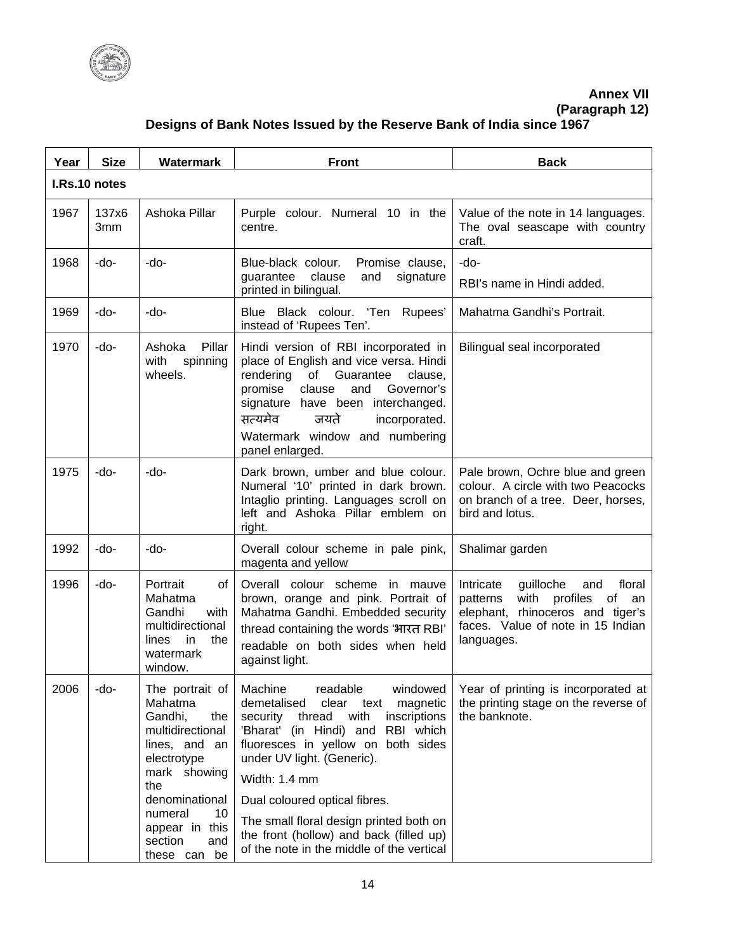

## **Annex VII**

**(Paragraph 12)**

## **Designs of Bank Notes Issued by the Reserve Bank of India since 1967**

| Year          | <b>Size</b>  | Watermark                                                                                                                                                                                   | <b>Front</b>                                                                                                                                                                                                                                                                                                                                                                   | <b>Back</b>                                                                                                                                                                |  |
|---------------|--------------|---------------------------------------------------------------------------------------------------------------------------------------------------------------------------------------------|--------------------------------------------------------------------------------------------------------------------------------------------------------------------------------------------------------------------------------------------------------------------------------------------------------------------------------------------------------------------------------|----------------------------------------------------------------------------------------------------------------------------------------------------------------------------|--|
| I.Rs.10 notes |              |                                                                                                                                                                                             |                                                                                                                                                                                                                                                                                                                                                                                |                                                                                                                                                                            |  |
| 1967          | 137x6<br>3mm | Ashoka Pillar                                                                                                                                                                               | Purple colour. Numeral 10 in the<br>centre.                                                                                                                                                                                                                                                                                                                                    | Value of the note in 14 languages.<br>The oval seascape with country<br>craft.                                                                                             |  |
| 1968          | -do-         | -do-                                                                                                                                                                                        | Blue-black colour.<br>Promise clause,<br>guarantee<br>clause<br>and<br>signature<br>printed in bilingual.                                                                                                                                                                                                                                                                      | -do-<br>RBI's name in Hindi added.                                                                                                                                         |  |
| 1969          | -do-         | -do-                                                                                                                                                                                        | Blue Black colour. 'Ten Rupees'<br>instead of 'Rupees Ten'.                                                                                                                                                                                                                                                                                                                    | Mahatma Gandhi's Portrait.                                                                                                                                                 |  |
| 1970          | -do-         | Pillar<br>Ashoka<br>with<br>spinning<br>wheels.                                                                                                                                             | Hindi version of RBI incorporated in<br>place of English and vice versa. Hindi<br>rendering<br>of<br>Guarantee<br>clause,<br>Governor's<br>clause<br>and<br>promise<br>signature have been interchanged.<br>सत्यमेव<br>जयते<br>incorporated.<br>Watermark window and numbering<br>panel enlarged.                                                                              | Bilingual seal incorporated                                                                                                                                                |  |
| 1975          | -do-         | $-do-$                                                                                                                                                                                      | Dark brown, umber and blue colour.<br>Numeral '10' printed in dark brown.<br>Intaglio printing. Languages scroll on<br>left and Ashoka Pillar emblem on<br>right.                                                                                                                                                                                                              | Pale brown, Ochre blue and green<br>colour. A circle with two Peacocks<br>on branch of a tree. Deer, horses,<br>bird and lotus.                                            |  |
| 1992          | -do-         | -do-                                                                                                                                                                                        | Overall colour scheme in pale pink,<br>magenta and yellow                                                                                                                                                                                                                                                                                                                      | Shalimar garden                                                                                                                                                            |  |
| 1996          | -do-         | Portrait<br>of<br>Mahatma<br>Gandhi<br>with<br>multidirectional<br>in<br>lines<br>the<br>watermark<br>window.                                                                               | Overall colour scheme in mauve<br>brown, orange and pink. Portrait of<br>Mahatma Gandhi. Embedded security<br>thread containing the words 'भारत RBI'<br>readable on both sides when held<br>against light.                                                                                                                                                                     | Intricate<br>floral<br>guilloche<br>and<br>with<br>profiles<br>patterns<br>of<br>an<br>elephant, rhinoceros and tiger's<br>faces. Value of note in 15 Indian<br>languages. |  |
| 2006          | -do-         | Mahatma<br>Gandhi,<br>the<br>multidirectional<br>lines, and an<br>electrotype<br>mark showing<br>the<br>denominational<br>numeral<br>10<br>appear in this<br>section<br>and<br>these can be | demetalised<br>clear text<br>magnetic<br>security thread<br>with<br>inscriptions<br>'Bharat' (in Hindi) and RBI which<br>fluoresces in yellow on both sides<br>under UV light. (Generic).<br>Width: 1.4 mm<br>Dual coloured optical fibres.<br>The small floral design printed both on<br>the front (hollow) and back (filled up)<br>of the note in the middle of the vertical | Year of printing is incorporated at<br>the printing stage on the reverse of<br>the banknote.                                                                               |  |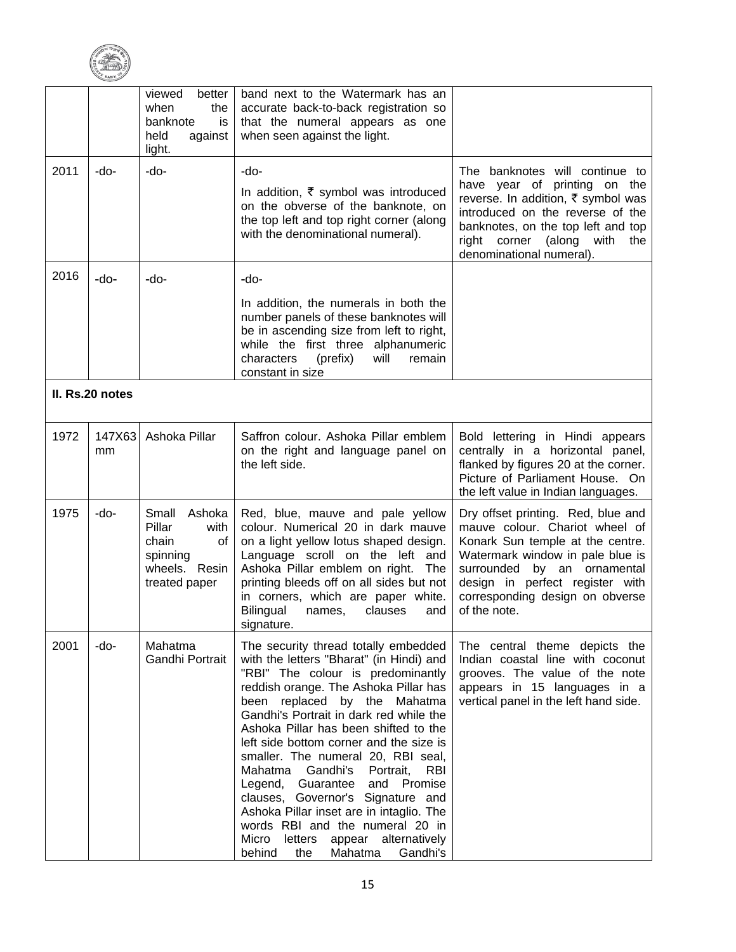

|      |                 | viewed<br>better<br>when<br>the<br>banknote<br>is<br>held<br>against<br>light.                 | band next to the Watermark has an<br>accurate back-to-back registration so<br>that the numeral appears as one<br>when seen against the light.                                                                                                                                                                                                                                                                                                                                                                                                                                                                                                                        |                                                                                                                                                                                                                                                                   |
|------|-----------------|------------------------------------------------------------------------------------------------|----------------------------------------------------------------------------------------------------------------------------------------------------------------------------------------------------------------------------------------------------------------------------------------------------------------------------------------------------------------------------------------------------------------------------------------------------------------------------------------------------------------------------------------------------------------------------------------------------------------------------------------------------------------------|-------------------------------------------------------------------------------------------------------------------------------------------------------------------------------------------------------------------------------------------------------------------|
| 2011 | -do-            | -do-                                                                                           | $-do-$<br>In addition, $\bar{\tau}$ symbol was introduced<br>on the obverse of the banknote, on<br>the top left and top right corner (along<br>with the denominational numeral).                                                                                                                                                                                                                                                                                                                                                                                                                                                                                     | The banknotes will continue to<br>have year of printing on the<br>reverse. In addition, ₹ symbol was<br>introduced on the reverse of the<br>banknotes, on the top left and top<br>right corner<br>(along<br>with<br>the<br>denominational numeral).               |
| 2016 | -do-            | -do-                                                                                           | -do-<br>In addition, the numerals in both the<br>number panels of these banknotes will<br>be in ascending size from left to right,<br>while the first three alphanumeric<br>characters<br>(prefix)<br>will<br>remain<br>constant in size                                                                                                                                                                                                                                                                                                                                                                                                                             |                                                                                                                                                                                                                                                                   |
|      | II. Rs.20 notes |                                                                                                |                                                                                                                                                                                                                                                                                                                                                                                                                                                                                                                                                                                                                                                                      |                                                                                                                                                                                                                                                                   |
| 1972 | 147X63<br>mm    | Ashoka Pillar                                                                                  | Saffron colour. Ashoka Pillar emblem<br>on the right and language panel on<br>the left side.                                                                                                                                                                                                                                                                                                                                                                                                                                                                                                                                                                         | Bold lettering in Hindi appears<br>centrally in a horizontal panel,<br>flanked by figures 20 at the corner.<br>Picture of Parliament House. On<br>the left value in Indian languages.                                                                             |
| 1975 | -do-            | Small<br>Ashoka<br>Pillar<br>with<br>chain<br>οf<br>spinning<br>wheels. Resin<br>treated paper | Red, blue, mauve and pale yellow<br>colour. Numerical 20 in dark mauve<br>on a light yellow lotus shaped design.<br>Language scroll on the left and<br>Ashoka Pillar emblem on right.<br>The<br>printing bleeds off on all sides but not<br>in corners, which are paper white.<br><b>Bilingual</b><br>clauses<br>names,<br>and<br>signature.                                                                                                                                                                                                                                                                                                                         | Dry offset printing. Red, blue and<br>mauve colour. Chariot wheel of<br>Konark Sun temple at the centre.<br>Watermark window in pale blue is<br>surrounded by an ornamental<br>design in perfect register with<br>corresponding design on obverse<br>of the note. |
| 2001 | -do-            | Mahatma<br>Gandhi Portrait                                                                     | The security thread totally embedded<br>with the letters "Bharat" (in Hindi) and<br>"RBI" The colour is predominantly<br>reddish orange. The Ashoka Pillar has<br>been replaced by the Mahatma<br>Gandhi's Portrait in dark red while the<br>Ashoka Pillar has been shifted to the<br>left side bottom corner and the size is<br>smaller. The numeral 20, RBI seal,<br>Gandhi's<br>Mahatma<br>Portrait,<br><b>RBI</b><br>Legend, Guarantee<br>Promise<br>and<br>clauses, Governor's Signature and<br>Ashoka Pillar inset are in intaglio. The<br>words RBI and the numeral 20 in<br>Micro<br>letters<br>appear alternatively<br>behind<br>the<br>Mahatma<br>Gandhi's | The central theme depicts the<br>Indian coastal line with coconut<br>grooves. The value of the note<br>appears in 15 languages in a<br>vertical panel in the left hand side.                                                                                      |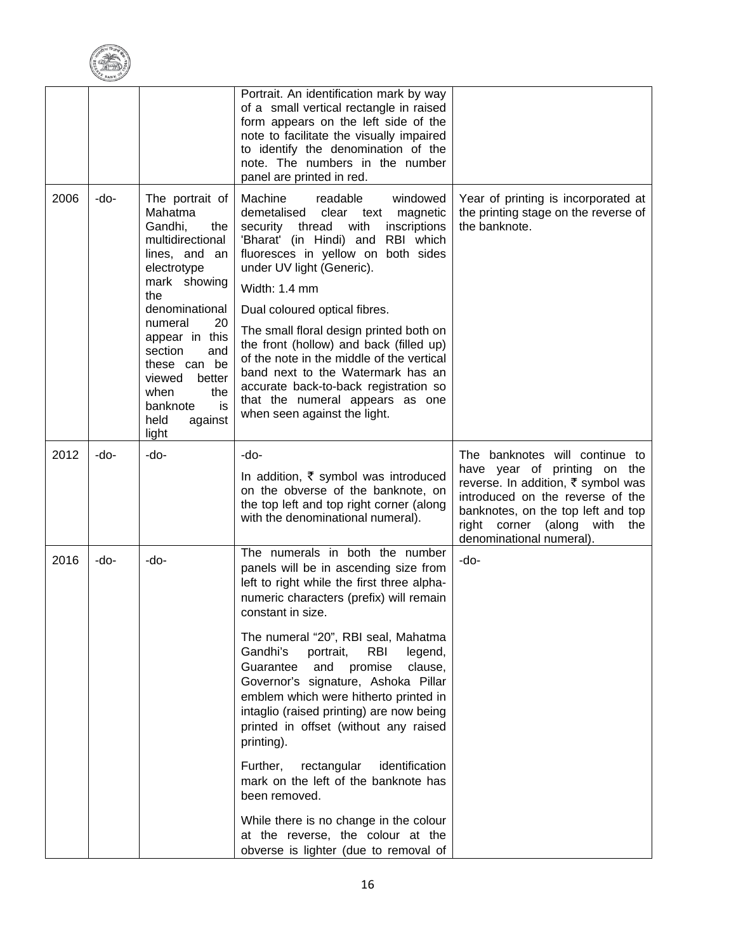

|      |      |                                                                                                                                                                                                                                                                                                 | Portrait. An identification mark by way<br>of a small vertical rectangle in raised<br>form appears on the left side of the<br>note to facilitate the visually impaired<br>to identify the denomination of the<br>note. The numbers in the number<br>panel are printed in red.                                                                                                                                                                                                                                                                                                                                                                                                                                                              |                                                                                                                                                                                                                                               |
|------|------|-------------------------------------------------------------------------------------------------------------------------------------------------------------------------------------------------------------------------------------------------------------------------------------------------|--------------------------------------------------------------------------------------------------------------------------------------------------------------------------------------------------------------------------------------------------------------------------------------------------------------------------------------------------------------------------------------------------------------------------------------------------------------------------------------------------------------------------------------------------------------------------------------------------------------------------------------------------------------------------------------------------------------------------------------------|-----------------------------------------------------------------------------------------------------------------------------------------------------------------------------------------------------------------------------------------------|
| 2006 | -do- | The portrait of<br>Mahatma<br>Gandhi,<br>the<br>multidirectional<br>lines, and an<br>electrotype<br>mark showing<br>the<br>denominational<br>20<br>numeral<br>appear in this<br>section<br>and<br>these can be<br>viewed<br>better<br>the<br>when<br>is<br>banknote<br>held<br>against<br>light | Machine<br>readable<br>windowed<br>demetalised<br>clear<br>magnetic<br>text<br>thread<br>security<br>with<br>inscriptions<br>'Bharat' (in Hindi) and<br>RBI which<br>fluoresces in yellow on both sides<br>under UV light (Generic).<br>Width: 1.4 mm<br>Dual coloured optical fibres.<br>The small floral design printed both on<br>the front (hollow) and back (filled up)<br>of the note in the middle of the vertical<br>band next to the Watermark has an<br>accurate back-to-back registration so<br>that the numeral appears as one<br>when seen against the light.                                                                                                                                                                 | Year of printing is incorporated at<br>the printing stage on the reverse of<br>the banknote.                                                                                                                                                  |
| 2012 | -do- | -do-                                                                                                                                                                                                                                                                                            | -do-<br>In addition, ₹ symbol was introduced<br>on the obverse of the banknote, on<br>the top left and top right corner (along<br>with the denominational numeral).                                                                                                                                                                                                                                                                                                                                                                                                                                                                                                                                                                        | The banknotes will continue to<br>have year of printing on the<br>reverse. In addition, ₹ symbol was<br>introduced on the reverse of the<br>banknotes, on the top left and top<br>right corner (along with<br>the<br>denominational numeral). |
| 2016 | -do- | -do-                                                                                                                                                                                                                                                                                            | The numerals in both the number<br>panels will be in ascending size from<br>left to right while the first three alpha-<br>numeric characters (prefix) will remain<br>constant in size.<br>The numeral "20", RBI seal, Mahatma<br>Gandhi's<br>portrait,<br><b>RBI</b><br>legend,<br>Guarantee<br>and<br>promise<br>clause,<br>Governor's signature, Ashoka Pillar<br>emblem which were hitherto printed in<br>intaglio (raised printing) are now being<br>printed in offset (without any raised<br>printing).<br>Further,<br>rectangular<br>identification<br>mark on the left of the banknote has<br>been removed.<br>While there is no change in the colour<br>at the reverse, the colour at the<br>obverse is lighter (due to removal of | -do-                                                                                                                                                                                                                                          |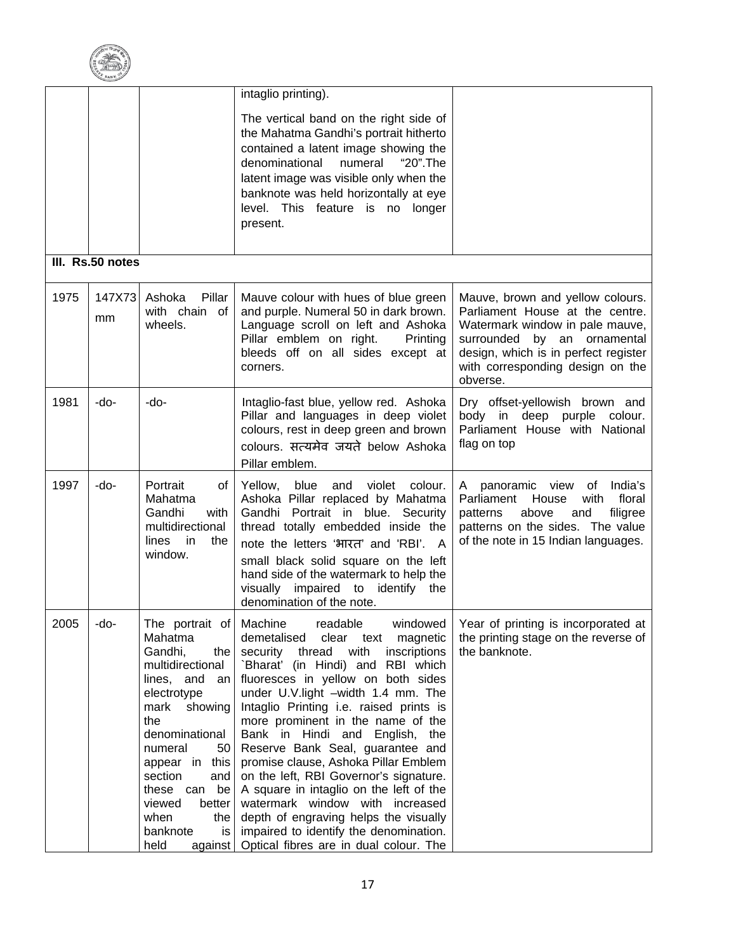

|      |                  |                                                                                                                                                                                                                                                                           | intaglio printing).                                                                                                                                                                                                                                                                                                                                                                                                                                                                                                                                                                                                                                                                                                                      |                                                                                                                                                                                                                               |
|------|------------------|---------------------------------------------------------------------------------------------------------------------------------------------------------------------------------------------------------------------------------------------------------------------------|------------------------------------------------------------------------------------------------------------------------------------------------------------------------------------------------------------------------------------------------------------------------------------------------------------------------------------------------------------------------------------------------------------------------------------------------------------------------------------------------------------------------------------------------------------------------------------------------------------------------------------------------------------------------------------------------------------------------------------------|-------------------------------------------------------------------------------------------------------------------------------------------------------------------------------------------------------------------------------|
|      |                  |                                                                                                                                                                                                                                                                           | The vertical band on the right side of<br>the Mahatma Gandhi's portrait hitherto<br>contained a latent image showing the<br>numeral<br>denominational<br>"20".The<br>latent image was visible only when the<br>banknote was held horizontally at eye<br>level. This feature is no longer<br>present.                                                                                                                                                                                                                                                                                                                                                                                                                                     |                                                                                                                                                                                                                               |
|      | III. Rs.50 notes |                                                                                                                                                                                                                                                                           |                                                                                                                                                                                                                                                                                                                                                                                                                                                                                                                                                                                                                                                                                                                                          |                                                                                                                                                                                                                               |
| 1975 | 147X73<br>mm     | Pillar<br>Ashoka<br>with chain of<br>wheels.                                                                                                                                                                                                                              | Mauve colour with hues of blue green<br>and purple. Numeral 50 in dark brown.<br>Language scroll on left and Ashoka<br>Pillar emblem on right.<br>Printing<br>bleeds off on all sides except at<br>corners.                                                                                                                                                                                                                                                                                                                                                                                                                                                                                                                              | Mauve, brown and yellow colours.<br>Parliament House at the centre.<br>Watermark window in pale mauve,<br>surrounded by an ornamental<br>design, which is in perfect register<br>with corresponding design on the<br>obverse. |
| 1981 | -do-             | -do-                                                                                                                                                                                                                                                                      | Intaglio-fast blue, yellow red. Ashoka<br>Pillar and languages in deep violet<br>colours, rest in deep green and brown<br>colours. सत्यमेव जयते below Ashoka<br>Pillar emblem.                                                                                                                                                                                                                                                                                                                                                                                                                                                                                                                                                           | Dry offset-yellowish brown and<br>body in deep purple colour.<br>Parliament House with National<br>flag on top                                                                                                                |
| 1997 | -do-             | Portrait<br>of<br>Mahatma<br>Gandhi<br>with<br>multidirectional<br>lines<br>in<br>the<br>window.                                                                                                                                                                          | Yellow, blue and violet<br>colour.<br>Ashoka Pillar replaced by Mahatma<br>Gandhi Portrait in blue. Security<br>thread totally embedded inside the<br>note the letters 'भारत' and 'RBI'. A<br>small black solid square on the left<br>hand side of the watermark to help the<br>visually<br>impaired to identify the<br>denomination of the note.                                                                                                                                                                                                                                                                                                                                                                                        | A panoramic view of<br>India's<br>House<br>with<br>floral<br>Parliament<br>above<br>filigree<br>patterns<br>and<br>patterns on the sides. The value<br>of the note in 15 Indian languages.                                    |
| 2005 | -do-             | Mahatma<br>Gandhi,<br>the<br>multidirectional<br>lines, and an<br>electrotype<br>mark<br>showing<br>the<br>denominational<br>numeral<br>50<br>appear in this<br>section<br>and<br>these can<br>be<br>viewed<br>better<br>when<br>the<br>banknote<br>is<br>held<br>against | The portrait of Machine readable windowed Year of printing is incorporated at<br>demetalised<br>clear<br>text<br>magnetic<br>with<br>security thread<br>inscriptions<br>`Bharat' (in Hindi) and RBI which<br>fluoresces in yellow on both sides<br>under U.V.light -width 1.4 mm. The<br>Intaglio Printing i.e. raised prints is<br>more prominent in the name of the<br>Bank in Hindi and English, the<br>Reserve Bank Seal, guarantee and<br>promise clause, Ashoka Pillar Emblem<br>on the left, RBI Governor's signature.<br>A square in intaglio on the left of the<br>watermark window with increased<br>depth of engraving helps the visually<br>impaired to identify the denomination.<br>Optical fibres are in dual colour. The | the printing stage on the reverse of<br>the banknote.                                                                                                                                                                         |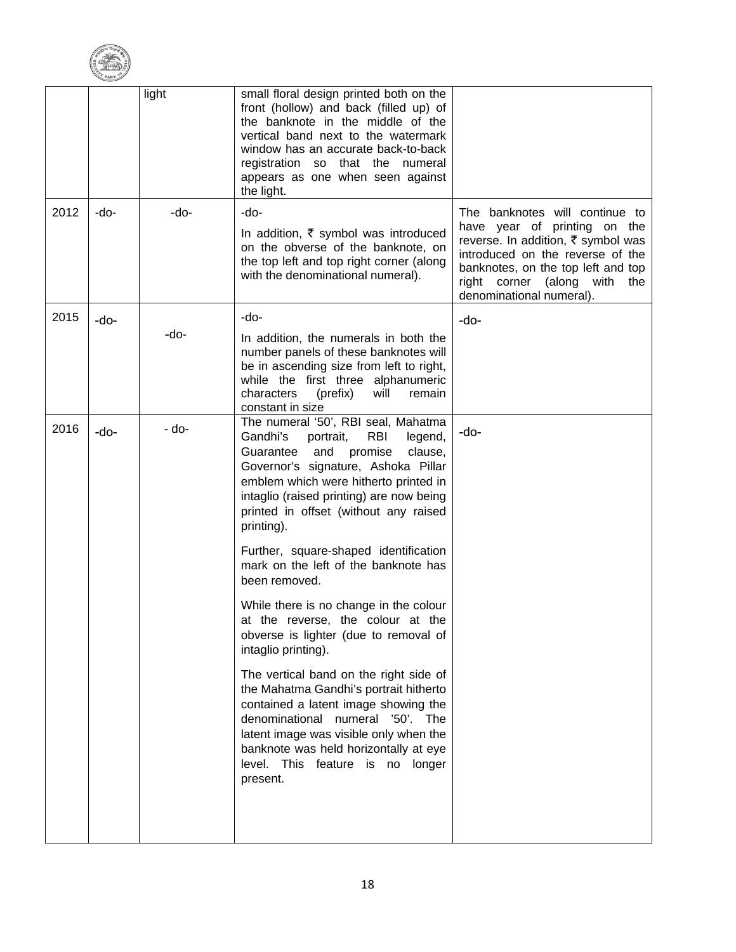

|      |      | light | small floral design printed both on the<br>front (hollow) and back (filled up) of<br>the banknote in the middle of the<br>vertical band next to the watermark<br>window has an accurate back-to-back<br>registration so that the numeral<br>appears as one when seen against<br>the light.                  |                                                                                                                                                                                                                                               |
|------|------|-------|-------------------------------------------------------------------------------------------------------------------------------------------------------------------------------------------------------------------------------------------------------------------------------------------------------------|-----------------------------------------------------------------------------------------------------------------------------------------------------------------------------------------------------------------------------------------------|
| 2012 | -do- | -do-  | -do-<br>In addition, $\bar{\tau}$ symbol was introduced<br>on the obverse of the banknote, on<br>the top left and top right corner (along<br>with the denominational numeral).                                                                                                                              | The banknotes will continue to<br>have year of printing on the<br>reverse. In addition, ₹ symbol was<br>introduced on the reverse of the<br>banknotes, on the top left and top<br>right corner (along with<br>the<br>denominational numeral). |
| 2015 | -do- | -do-  | -do-<br>In addition, the numerals in both the<br>number panels of these banknotes will<br>be in ascending size from left to right,<br>while the first three alphanumeric<br>characters<br>(prefix)<br>will<br>remain<br>constant in size                                                                    | -do-                                                                                                                                                                                                                                          |
| 2016 | -do- | - do- | The numeral '50', RBI seal, Mahatma<br>Gandhi's<br>portrait,<br>RBI<br>legend,<br>Guarantee<br>promise<br>and<br>clause,<br>Governor's signature, Ashoka Pillar<br>emblem which were hitherto printed in<br>intaglio (raised printing) are now being<br>printed in offset (without any raised<br>printing). | -do-                                                                                                                                                                                                                                          |
|      |      |       | Further, square-shaped identification<br>mark on the left of the banknote has<br>been removed.                                                                                                                                                                                                              |                                                                                                                                                                                                                                               |
|      |      |       | While there is no change in the colour<br>at the reverse, the colour at the<br>obverse is lighter (due to removal of<br>intaglio printing).                                                                                                                                                                 |                                                                                                                                                                                                                                               |
|      |      |       | The vertical band on the right side of<br>the Mahatma Gandhi's portrait hitherto<br>contained a latent image showing the<br>denominational numeral '50'. The<br>latent image was visible only when the<br>banknote was held horizontally at eye<br>level. This feature is no longer<br>present.             |                                                                                                                                                                                                                                               |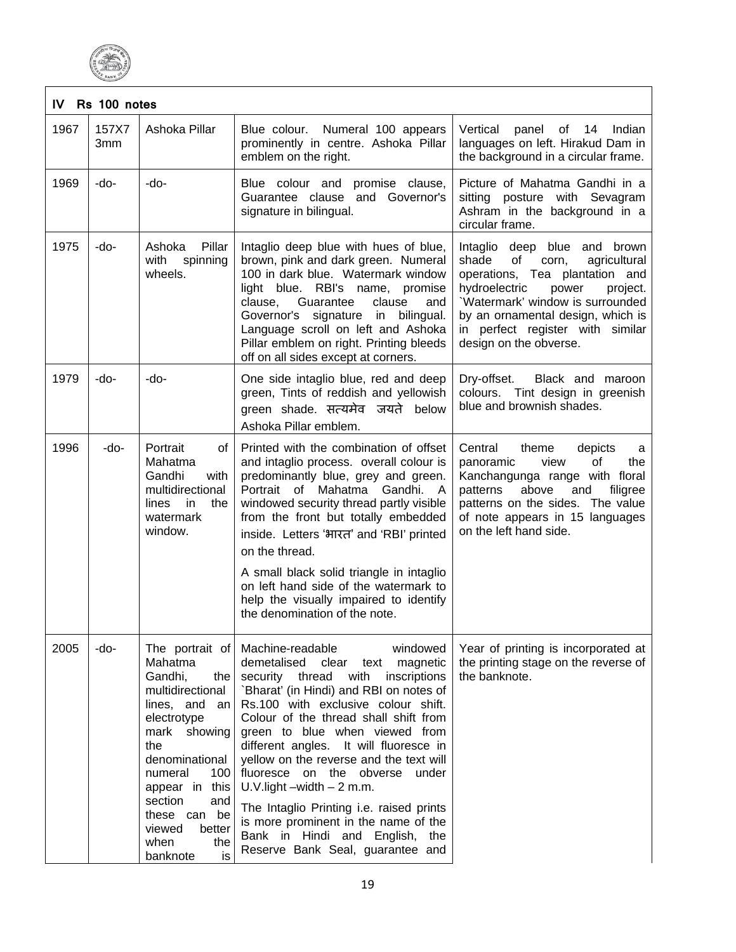

| Rs 100 notes<br>IV |              |                                                                                                                                                                                                                                                       |                                                                                                                                                                                                                                                                                                                                                                                                                                                                                                                                                                                                       |                                                                                                                                                                                                                                                                                     |  |
|--------------------|--------------|-------------------------------------------------------------------------------------------------------------------------------------------------------------------------------------------------------------------------------------------------------|-------------------------------------------------------------------------------------------------------------------------------------------------------------------------------------------------------------------------------------------------------------------------------------------------------------------------------------------------------------------------------------------------------------------------------------------------------------------------------------------------------------------------------------------------------------------------------------------------------|-------------------------------------------------------------------------------------------------------------------------------------------------------------------------------------------------------------------------------------------------------------------------------------|--|
| 1967               | 157X7<br>3mm | Ashoka Pillar                                                                                                                                                                                                                                         | Blue colour. Numeral 100 appears<br>prominently in centre. Ashoka Pillar<br>emblem on the right.                                                                                                                                                                                                                                                                                                                                                                                                                                                                                                      | Vertical<br>panel<br>of 14<br>Indian<br>languages on left. Hirakud Dam in<br>the background in a circular frame.                                                                                                                                                                    |  |
| 1969               | -do-         | -do-                                                                                                                                                                                                                                                  | Blue colour and<br>promise clause,<br>Guarantee clause and Governor's<br>signature in bilingual.                                                                                                                                                                                                                                                                                                                                                                                                                                                                                                      | Picture of Mahatma Gandhi in a<br>posture with Sevagram<br>sitting<br>Ashram in the background in a<br>circular frame.                                                                                                                                                              |  |
| 1975               | -do-         | Ashoka<br>Pillar<br>with<br>spinning<br>wheels.                                                                                                                                                                                                       | Intaglio deep blue with hues of blue,<br>brown, pink and dark green. Numeral<br>100 in dark blue. Watermark window<br>light blue. RBI's name, promise<br>clause,<br>Guarantee<br>clause<br>and<br>Governor's signature in<br>bilingual.<br>Language scroll on left and Ashoka<br>Pillar emblem on right. Printing bleeds<br>off on all sides except at corners.                                                                                                                                                                                                                                       | Intaglio deep blue and brown<br>shade<br>οf<br>agricultural<br>corn,<br>operations, Tea plantation and<br>hydroelectric<br>power<br>project.<br>'Watermark' window is surrounded<br>by an ornamental design, which is<br>in perfect register with similar<br>design on the obverse. |  |
| 1979               | -do-         | -do-                                                                                                                                                                                                                                                  | One side intaglio blue, red and deep<br>green, Tints of reddish and yellowish<br>green shade. सत्यमेव जयते below<br>Ashoka Pillar emblem.                                                                                                                                                                                                                                                                                                                                                                                                                                                             | Dry-offset.<br>Black and maroon<br>colours. Tint design in greenish<br>blue and brownish shades.                                                                                                                                                                                    |  |
| 1996               | -do-         | Portrait<br>οf<br>Mahatma<br>Gandhi<br>with<br>multidirectional<br>in<br>the<br>lines<br>watermark<br>window.                                                                                                                                         | Printed with the combination of offset<br>and intaglio process. overall colour is<br>predominantly blue, grey and green.<br>Portrait of<br>Mahatma<br>Gandhi.<br>A<br>windowed security thread partly visible<br>from the front but totally embedded<br>inside. Letters 'भारत' and 'RBI' printed<br>on the thread.<br>A small black solid triangle in intaglio                                                                                                                                                                                                                                        | Central<br>theme<br>depicts<br>a<br>οf<br>panoramic<br>view<br>the<br>Kanchangunga range with floral<br>and<br>patterns<br>above<br>filigree<br>patterns on the sides. The value<br>of note appears in 15 languages<br>on the left hand side.                                       |  |
|                    |              |                                                                                                                                                                                                                                                       | on left hand side of the watermark to<br>help the visually impaired to identify<br>the denomination of the note.                                                                                                                                                                                                                                                                                                                                                                                                                                                                                      |                                                                                                                                                                                                                                                                                     |  |
| 2005               | -do-         | The portrait of<br>Mahatma<br>Gandhi,<br>the<br>multidirectional<br>lines, and an<br>electrotype<br>mark showing<br>the<br>denominational<br>numeral<br>100<br>appear in this<br>section<br>and<br>these can<br>be<br>viewed<br>better<br>when<br>the | Machine-readable<br>windowed<br>demetalised clear<br>text magnetic<br>security thread<br>with<br>inscriptions<br>Bharat' (in Hindi) and RBI on notes of<br>Rs.100 with exclusive colour shift.<br>Colour of the thread shall shift from<br>green to blue when viewed from<br>different angles. It will fluoresce in<br>yellow on the reverse and the text will<br>the<br>obverse<br>fluoresce<br>on<br>under<br>U.V.light $-width - 2$ m.m.<br>The Intaglio Printing i.e. raised prints<br>is more prominent in the name of the<br>Bank in Hindi and English, the<br>Reserve Bank Seal, guarantee and | Year of printing is incorporated at<br>the printing stage on the reverse of<br>the banknote.                                                                                                                                                                                        |  |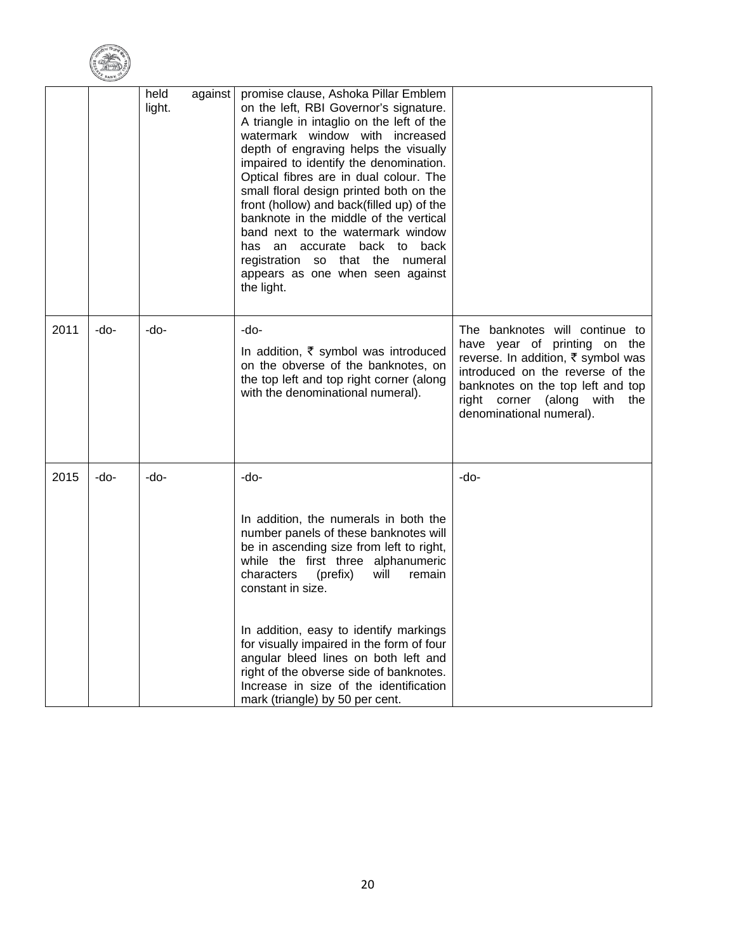

|      |      | held<br>light. | against | promise clause, Ashoka Pillar Emblem<br>on the left, RBI Governor's signature.<br>A triangle in intaglio on the left of the<br>watermark window with increased<br>depth of engraving helps the visually<br>impaired to identify the denomination.<br>Optical fibres are in dual colour. The<br>small floral design printed both on the<br>front (hollow) and back(filled up) of the<br>banknote in the middle of the vertical<br>band next to the watermark window<br>has an accurate back to back<br>registration so that the numeral<br>appears as one when seen against<br>the light. |                                                                                                                                                                                                                                              |
|------|------|----------------|---------|------------------------------------------------------------------------------------------------------------------------------------------------------------------------------------------------------------------------------------------------------------------------------------------------------------------------------------------------------------------------------------------------------------------------------------------------------------------------------------------------------------------------------------------------------------------------------------------|----------------------------------------------------------------------------------------------------------------------------------------------------------------------------------------------------------------------------------------------|
| 2011 | -do- | -do-           |         | -do-<br>In addition, ₹ symbol was introduced<br>on the obverse of the banknotes, on<br>the top left and top right corner (along<br>with the denominational numeral).                                                                                                                                                                                                                                                                                                                                                                                                                     | The banknotes will continue to<br>have year of printing on the<br>reverse. In addition, ₹ symbol was<br>introduced on the reverse of the<br>banknotes on the top left and top<br>right corner (along with<br>the<br>denominational numeral). |
| 2015 | -do- | -do-           |         | -do-<br>In addition, the numerals in both the<br>number panels of these banknotes will<br>be in ascending size from left to right,<br>while the first three alphanumeric<br>characters<br>(prefix)<br>will<br>remain<br>constant in size.<br>In addition, easy to identify markings<br>for visually impaired in the form of four<br>angular bleed lines on both left and<br>right of the obverse side of banknotes.<br>Increase in size of the identification<br>mark (triangle) by 50 per cent.                                                                                         | -do-                                                                                                                                                                                                                                         |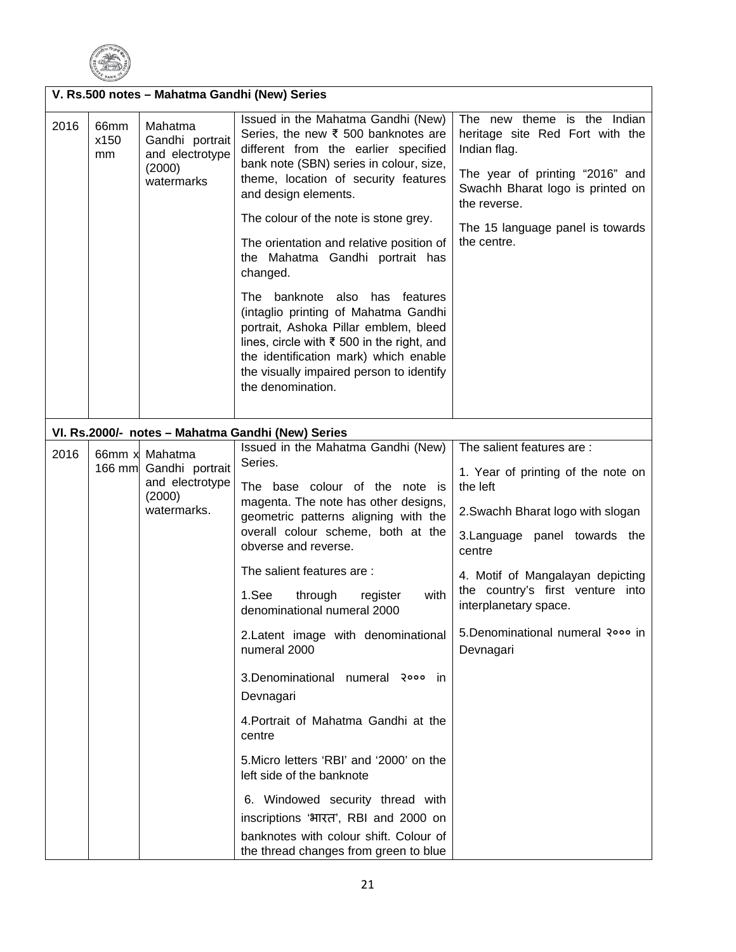

|      | V. Rs.500 notes - Mahatma Gandhi (New) Series |                                                                                      |                                                                                                                                                                                                                                                                                                                                                                                                                                                                                                                                                                                                                                                                                                                                      |                                                                                                                                                                                                                                                                                                                 |  |  |  |
|------|-----------------------------------------------|--------------------------------------------------------------------------------------|--------------------------------------------------------------------------------------------------------------------------------------------------------------------------------------------------------------------------------------------------------------------------------------------------------------------------------------------------------------------------------------------------------------------------------------------------------------------------------------------------------------------------------------------------------------------------------------------------------------------------------------------------------------------------------------------------------------------------------------|-----------------------------------------------------------------------------------------------------------------------------------------------------------------------------------------------------------------------------------------------------------------------------------------------------------------|--|--|--|
| 2016 | 66mm<br>x150<br>mm                            | Mahatma<br>Gandhi portrait<br>and electrotype<br>(2000)<br>watermarks                | Issued in the Mahatma Gandhi (New)<br>Series, the new ₹ 500 banknotes are<br>different from the earlier specified<br>bank note (SBN) series in colour, size,<br>theme, location of security features<br>and design elements.<br>The colour of the note is stone grey.<br>The orientation and relative position of<br>the Mahatma Gandhi portrait has<br>changed.<br>The banknote<br>also has features<br>(intaglio printing of Mahatma Gandhi<br>portrait, Ashoka Pillar emblem, bleed<br>lines, circle with ₹ 500 in the right, and<br>the identification mark) which enable<br>the visually impaired person to identify<br>the denomination.                                                                                       | The new theme is the Indian<br>heritage site Red Fort with the<br>Indian flag.<br>The year of printing "2016" and<br>Swachh Bharat logo is printed on<br>the reverse.<br>The 15 language panel is towards<br>the centre.                                                                                        |  |  |  |
|      |                                               |                                                                                      | VI. Rs.2000/- notes - Mahatma Gandhi (New) Series                                                                                                                                                                                                                                                                                                                                                                                                                                                                                                                                                                                                                                                                                    |                                                                                                                                                                                                                                                                                                                 |  |  |  |
| 2016 |                                               | 66mm x Mahatma<br>166 mm Gandhi portrait<br>and electrotype<br>(2000)<br>watermarks. | Issued in the Mahatma Gandhi (New)<br>Series.<br>The base colour of the note is<br>magenta. The note has other designs,<br>geometric patterns aligning with the<br>overall colour scheme, both at the<br>obverse and reverse.<br>The salient features are :<br>1.See<br>with<br>through<br>register<br>denominational numeral 2000<br>2. Latent image with denominational<br>numeral 2000<br>3.Denominational numeral २००० in<br>Devnagari<br>4. Portrait of Mahatma Gandhi at the<br>centre<br>5. Micro letters 'RBI' and '2000' on the<br>left side of the banknote<br>6. Windowed security thread with<br>inscriptions 'भारत', RBI and 2000 on<br>banknotes with colour shift. Colour of<br>the thread changes from green to blue | The salient features are :<br>1. Year of printing of the note on<br>the left<br>2. Swachh Bharat logo with slogan<br>3. Language panel towards the<br>centre<br>4. Motif of Mangalayan depicting<br>the country's first venture into<br>interplanetary space.<br>5. Denominational numeral २००० in<br>Devnagari |  |  |  |